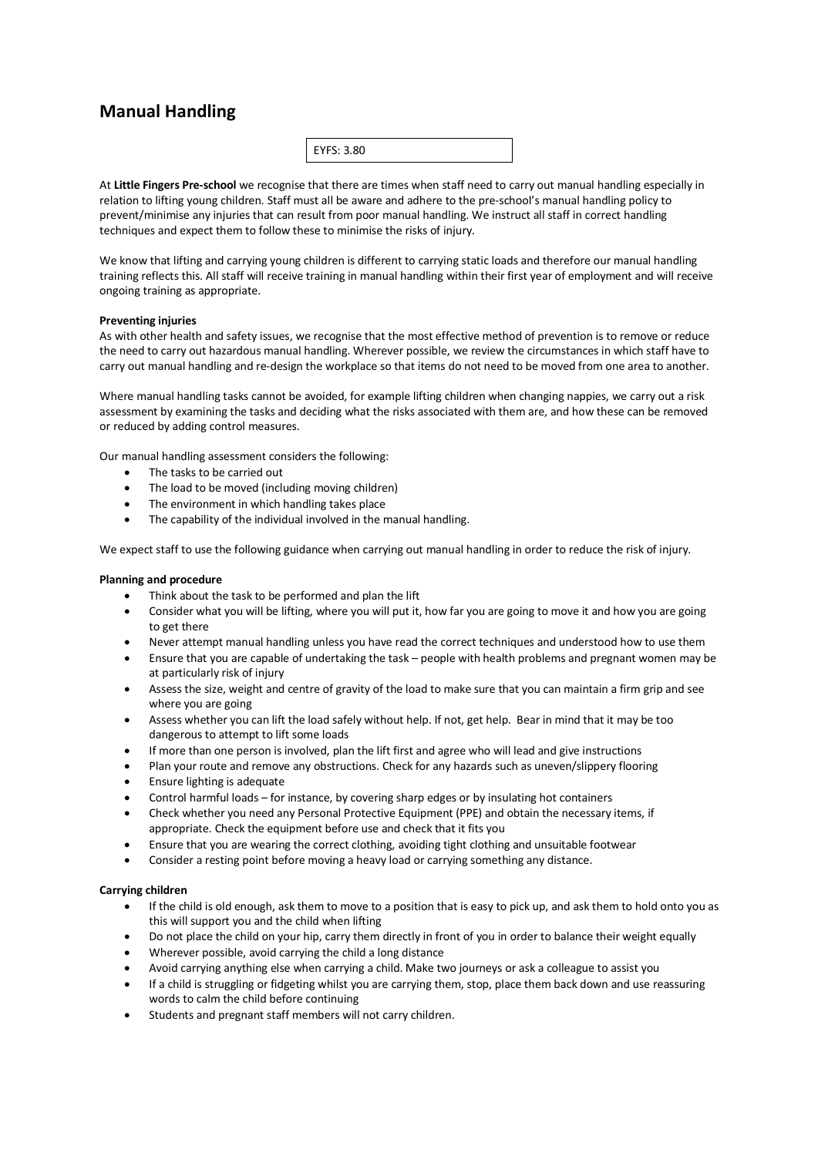# **Manual Handling**

| EYFS: 3.80 |  |  |
|------------|--|--|
|            |  |  |

At **Little Fingers Pre-school** we recognise that there are times when staff need to carry out manual handling especially in relation to lifting young children. Staff must all be aware and adhere to the pre-school's manual handling policy to prevent/minimise any injuries that can result from poor manual handling. We instruct all staff in correct handling techniques and expect them to follow these to minimise the risks of injury.

We know that lifting and carrying young children is different to carrying static loads and therefore our manual handling training reflects this. All staff will receive training in manual handling within their first year of employment and will receive ongoing training as appropriate.

# **Preventing injuries**

As with other health and safety issues, we recognise that the most effective method of prevention is to remove or reduce the need to carry out hazardous manual handling. Wherever possible, we review the circumstances in which staff have to carry out manual handling and re-design the workplace so that items do not need to be moved from one area to another.

Where manual handling tasks cannot be avoided, for example lifting children when changing nappies, we carry out a risk assessment by examining the tasks and deciding what the risks associated with them are, and how these can be removed or reduced by adding control measures.

Our manual handling assessment considers the following:

- The tasks to be carried out
- The load to be moved (including moving children)
- The environment in which handling takes place
- The capability of the individual involved in the manual handling.

We expect staff to use the following guidance when carrying out manual handling in order to reduce the risk of injury.

## **Planning and procedure**

- Think about the task to be performed and plan the lift
- Consider what you will be lifting, where you will put it, how far you are going to move it and how you are going to get there
- Never attempt manual handling unless you have read the correct techniques and understood how to use them
- Ensure that you are capable of undertaking the task people with health problems and pregnant women may be at particularly risk of injury
- Assess the size, weight and centre of gravity of the load to make sure that you can maintain a firm grip and see where you are going
- Assess whether you can lift the load safely without help. If not, get help. Bear in mind that it may be too dangerous to attempt to lift some loads
- If more than one person is involved, plan the lift first and agree who will lead and give instructions
- Plan your route and remove any obstructions. Check for any hazards such as uneven/slippery flooring
- Ensure lighting is adequate
- Control harmful loads for instance, by covering sharp edges or by insulating hot containers
- Check whether you need any Personal Protective Equipment (PPE) and obtain the necessary items, if appropriate. Check the equipment before use and check that it fits you
- Ensure that you are wearing the correct clothing, avoiding tight clothing and unsuitable footwear
- Consider a resting point before moving a heavy load or carrying something any distance.

# **Carrying children**

- If the child is old enough, ask them to move to a position that is easy to pick up, and ask them to hold onto you as this will support you and the child when lifting
- Do not place the child on your hip, carry them directly in front of you in order to balance their weight equally
- Wherever possible, avoid carrying the child a long distance
- Avoid carrying anything else when carrying a child. Make two journeys or ask a colleague to assist you
- If a child is struggling or fidgeting whilst you are carrying them, stop, place them back down and use reassuring words to calm the child before continuing
- Students and pregnant staff members will not carry children.